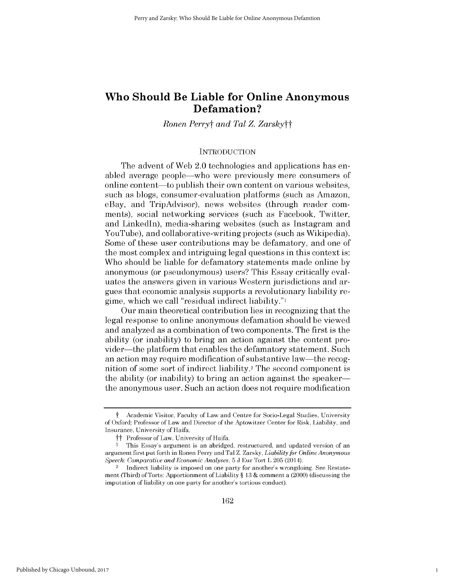# **Who Should Be Liable for Online Anonymous Defamation?**

# *Ronen Perryt and Tal Z. Zarskytt*

# **INTRODUCTION**

The advent of Web 2.0 technologies and applications has enabled average people-who were previously mere consumers of online content—to publish their own content on various websites, such as blogs, consumer-evaluation platforms (such as Amazon, eBay, and TripAdvisor), news websites (through reader comments), social networking services (such as Facebook, Twitter, and Linkedln), media-sharing websites (such as Instagram and YouTube), and collaborative-writing projects (such as Wikipedia). Some of these user contributions may be defamatory, and one of the most complex and intriguing legal questions in this context is: Who should be liable for defamatory statements made online by anonymous (or pseudonymous) users? This Essay critically evaluates the answers given in various Western jurisdictions and argues that economic analysis supports a revolutionary liability regime, which we call "residual indirect liability."1

Our main theoretical contribution lies in recognizing that the legal response to online anonymous defamation should be viewed and analyzed as a combination of two components. The first is the ability (or inability) to bring an action against the content provider—the platform that enables the defamatory statement. Such an action may require modification of substantive law-the recognition of some sort of indirect liability.2 The second component is the ability (or inability) to bring an action against the speakerthe anonymous user. Such an action does not require modification

1

t Academic Visitor, Faculty of Law and Centre for Socio-Legal Studies, University of Oxford; Professor of Law and Director of the Aptowitzer Center for Risk, Liability, and Insurance, University of Haifa.

 $\dagger\dagger$  Professor of Law, University of Haifa.

<sup>1</sup> This Essay's argument is an abridged, restructured, and updated version of an argument first put forth in Ronen Perry and Tal Z. Zarsky, *Liability for Online Anonymous Speech: Comparative and Economic Analyses,* 5 J Eur Tort L 205 (2014).

Indirect liability is imposed on one party for another's wrongdoing. See Restatement (Third) of Torts: Apportionment of Liability § 13 & comment a (2000) (discussing the imputation of liability on one party for another's tortious conduct).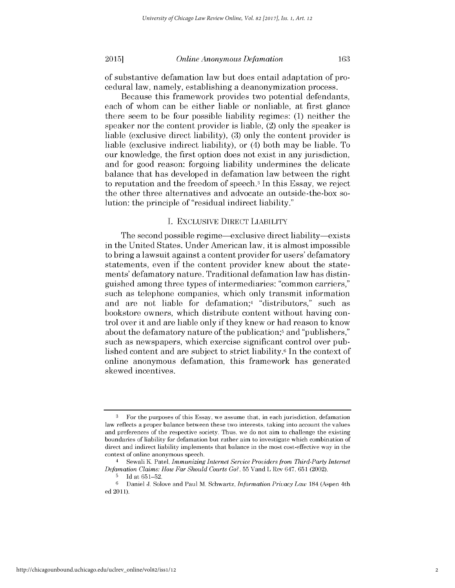### *Online Anonymous Defamation*

of substantive defamation law but does entail adaptation of procedural law, namely, establishing a deanonymization process.

Because this framework provides two potential defendants, each of whom can be either liable or nonliable, at first glance there seem to be four possible liability regimes: (1) neither the speaker nor the content provider is liable, (2) only the speaker is liable (exclusive direct liability), (3) only the content provider is liable (exclusive indirect liability), or (4) both may be liable. To our knowledge, the first option does not exist in any jurisdiction, and for good reason: forgoing liability undermines the delicate balance that has developed in defamation law between the right to reputation and the freedom of speech.3 In this Essay, we reject the other three alternatives and advocate an outside-the-box solution: the principle of "residual indirect liability."

# I. EXCLUSIVE DIRECT LIABILITY

The second possible regime—exclusive direct liability—exists in the United States. Under American law, it is almost impossible to bring a lawsuit against a content provider for users' defamatory statements, even if the content provider knew about the statements' defamatory nature. Traditional defamation law has distinguished among three types of intermediaries: "common carriers," such as telephone companies, which only transmit information and are not liable for defamation;<sup>4</sup> "distributors," such as bookstore owners, which distribute content without having control over it and are liable only if they knew or had reason to know about the defamatory nature of the publication;<sup>5</sup> and "publishers," such as newspapers, which exercise significant control over published content and are subject to strict liability.6 In the context of online anonymous defamation, this framework has generated skewed incentives.

**<sup>3</sup>** For the purposes of this Essay, we assume that, in each jurisdiction, defamation law reflects a proper balance between these two interests, taking into account the values and preferences of the respective society. Thus, we do not aim to challenge the existing boundaries of liability for defamation but rather aim to investigate which combination of direct and indirect liability implements that balance in the most cost-effective way in the context of online anonymous speech.

<sup>4</sup>Sewali K. Patel, *Immunizing Internet Service Providers from Third-Party Internet Defamation Claims: How Far Should Courts Go?,* 55 Vand L Rev 647, 651 (2002).

**<sup>5</sup>** Id at 651-52.

**<sup>6</sup>**Daniel J. Solove and Paul M. Schwartz, *Information Privacy Law* 184 (Aspen 4th ed 2011).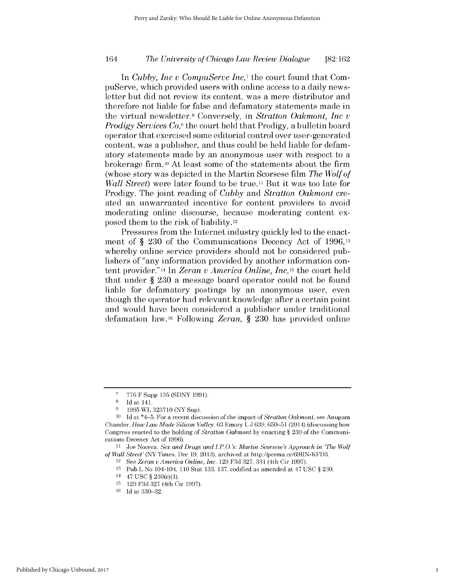In *Cubby, Inc v CompuServe Inc7* the court found that CompuServe, which provided users with online access to a daily newsletter but did not review its content, was a mere distributor and therefore not liable for false and defamatory statements made in the virtual newsletter.8 Conversely, in *Stratton Oakmont, Inc v Prodigy Services Co,<sup>9</sup>*the court held that Prodigy, a bulletin board operator that exercised some editorial control over user-generated content, was a publisher, and thus could be held liable for defamatory statements made by an anonymous user with respect to a brokerage firm.10 At least some of the statements about the firm (whose story was depicted in the Martin Scorsese film *The Wolf of Wall Street*) were later found to be true.<sup>11</sup> But it was too late for Prodigy. The joint reading of *Cubby* and *Stratton Oakmont* created an unwarranted incentive for content providers to avoid moderating online discourse, because moderating content exposed them to the risk of liability.12

Pressures from the Internet industry quickly led to the enactment of § 230 of the Communications Decency Act of 1996,<sup>13</sup> whereby online service providers should not be considered publishers of "any information provided by another information content provider." 14 In *Zeran v America Online, Inc,* 15 the court held that under § 230 a message board operator could not be found liable for defamatory postings by an anonymous user, even though the operator had relevant knowledge after a certain point and would have been considered a publisher under traditional defamation law.16 Following *Zeran,* § 230 has provided online

**<sup>7</sup>** 776 F Supp 135 (SDNY 1991).

<sup>8</sup> Id at 141.

**<sup>9</sup>** 1995 WL 323710 (NY Sup).

<sup>10</sup> Id at \*4-5. For a recent discussion of the impact of *Stratton Oakmont,* see Anupam Chander, *How LawMade Silicon Valley,* 63 Emory L J 639, 650-51 (2014) (discussing how Congress reacted to the holding of *Stratton Oakmont* by enacting § 230 of the Communications Decency Act of 1996).

**<sup>11</sup>** Joe Nocera, *Sex and Drugs and I.P.O. s: Martin Scorsese's Approach in 'The Wolf of Wall Street'* (NY Times, Dec **19,** 2013), archived at http://perma.cc/69RN-KFD3.

<sup>12</sup>See *Zeran u America Online, Inc,* 129 F3d 327, 331 (4th Cir 1997).

<sup>13</sup> Pub L No 104-104, 110 Stat 133, 137, codified as amended at 47 USC § 230.

<sup>14 47</sup> USC § 230(c)(1).

<sup>15</sup>129 F3d 327 (4th Cir 1997).

 $16$  Id at 330-32.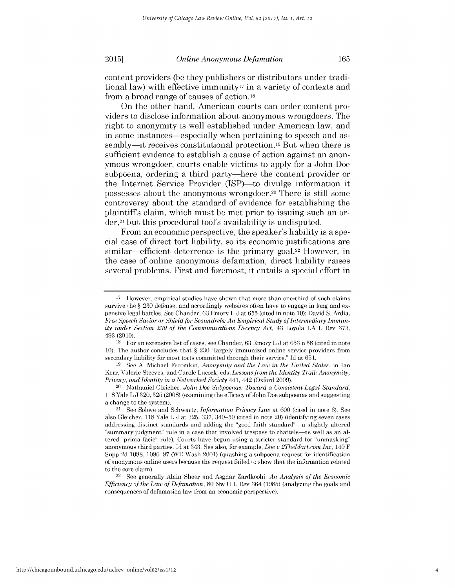content providers (be they publishers or distributors under traditional law) with effective immunity<sup>17</sup> in a variety of contexts and from a broad range of causes of action.18

On the other hand, American courts can order content providers to disclose information about anonymous wrongdoers. The right to anonymity is well established under American law, and in some instances—especially when pertaining to speech and assembly—it receives constitutional protection.<sup>19</sup> But when there is sufficient evidence to establish a cause of action against an anonymous wrongdoer, courts enable victims to apply for a John Doe subpoena, ordering a third party—here the content provider or the Internet Service Provider (ISP)-to divulge information it possesses about the anonymous wrongdoer.20 There is still some controversy about the standard of evidence for establishing the plaintiffs claim, which must be met prior to issuing such an order,<sup>21</sup> but this procedural tool's availability is undisputed.

From an economic perspective, the speaker's liability is a special case of direct tort liability, so its economic justifications are similar—efficient deterrence is the primary goal.<sup>22</sup> However, in the case of online anonymous defamation, direct liability raises several problems. First and foremost, it entails a special effort in

19 See A. Michael Froomkin, *Anonymity and the* Law *in the United States,* in Ian Kerr, Valerie Steeves, and Carole Lucock, eds, *Lessons from the Identity Trail: Anonymity, Privacy, and Identity in a Networked Society* 441, 442 (Oxford 2009).

 $17$  However, empirical studies have shown that more than one-third of such claims survive the § 230 defense, and accordingly websites often have to engage in long and expensive legal battles. See Chander, 63 Emory L J at 655 (cited in note 10); David S. Ardia, *Free Speech Savior or Shield* for *Scoundrels: An Empirical Study of Intermediary Immunity under Section 230 of the Communications Decency Act,* 43 Loyola LA L Rev 373, 493 (2010).

 $18$  For an extensive list of cases, see Chander, 63 Emory L J at 653 n 58 (cited in note 10). The author concludes that § 230 "largely immunized online service providers from secondary liability for most torts committed through their service." Id at 651.

<sup>&</sup>lt;sup>20</sup> Nathaniel Gleicher, *John Doe Subpoenas: Toward a Consistent Legal Standard*, 118 Yale L J 320, 325 (2008) (examining the efficacy of John Doe subpoenas and suggesting a change to the system).

<sup>21</sup>See Solove and Schwartz, *Information Privacy Law* at 600 (cited in note 6). See also Gleicher, 118 Yale L J at 325, 337, 340-50 (cited in note 20) (identifying seven cases addressing distinct standards and adding the "good faith standard"-a slightly altered "summary judgment" rule in a case that involved trespass to chattels-as well as an altered "prima facie" rule). Courts have begun using a stricter standard for "unmasking" anonymous third parties. Id at 343. See also, for example, *Doe* v *2TheMart.com* Inc, 140 F Supp 2d 1088, 1096-97 (WD Wash 2001) (quashing a subpoena request for identification of anonymous online users because the request failed to show that the information related to the core claim).

<sup>22</sup>See generally Alain Sheer and Asghar Zardkoohi, *An Analysis of the Economic Efficiency of the Law of Defamation,* 80 Nw U L Rev 364 (1985) (analyzing the goals and consequences of defamation law from an economic perspective).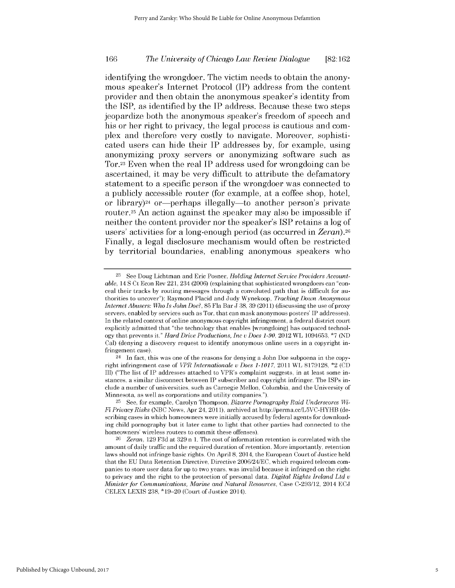identifying the wrongdoer. The victim needs to obtain the anonymous speaker's Internet Protocol (IP) address from the content provider and then obtain the anonymous speaker's identity from the **ISP,** as identified **by** the IP address. Because these two steps jeopardize both the anonymous speaker's freedom of speech and his or her right to privacy, the legal process is cautious and complex and therefore very costly to navigate. Moreover, sophisticated users can hide their IP addresses **by,** for example, using anonymizing proxy servers or anonymizing software such as Tor.23 Even when the real IP address used for wrongdoing can be ascertained, it may be very difficult to attribute the defamatory statement to a specific person **if** the wrongdoer was connected to a publicly accessible router (for example, at a coffee shop, hotel, or library)<sup>24</sup> or—perhaps illegally—to another person's private router.<sup>25</sup> An action against the speaker may also be impossible if neither the content provider nor the speaker's **ISP** retains a log of users' activities for a long-enough period (as occurred in *Zeran).26* Finally, a legal disclosure mechanism would often be restricted **by** territorial boundaries, enabling anonymous speakers who

**<sup>23</sup>** See Doug Lichtman and Eric Posner, *Holding Internet Service Providers Accountable,* 14 S Ct Econ Rev 221, 234 (2006) (explaining that sophisticated wrongdoers can "conceal their tracks by routing messages through a convoluted path that is difficult for authorities to uncover"); Raymond Placid and Judy Wynekoop, *Tracking Down Anonymous Internet Abusers: Who Is John Doe?,* 85 Fla Bar **J** 38, 39 (2011) (discussing the use of proxy servers, enabled by services such as Tor, that can mask anonymous posters' IP addresses). In the related context of online anonymous copyright infringement, a federal district court explicitly admitted that "the technology that enables [wrongdoing] has outpaced technology that prevents it." *Hard Drive Productions, Inc v Does 1-90,* 2012 WL 1094653, \*7 (ND Cal) (denying a discovery request to identify anonymous online users in a copyright infringement case).

<sup>24</sup> In fact, this was one of the reasons for denying a John Doe subpoena in the copyright infringement case of *VPR Internationale u Does 1-1017,* 2011 WL 8179128, \*2 (CD Ill) ("The list of IP addresses attached to VPR's complaint suggests, in at least some instances, a similar disconnect between IP subscriber and copyright infringer. The ISPs include a number of universities, such as Carnegie Mellon, Columbia, and the University of Minnesota, as well as corporations and utility companies.").

<sup>25</sup> See, for example, Carolyn Thompson, *Bizarre Pornography Raid Underscores Wi-Fi Privacy Risks* (NBC News, Apr 24, 2011), archived at http://perma.cc/L5VC-HYHB (describing cases in which homeowners were initially accused by federal agents for downloading child pornography but it later came to light that other parties had connected to the homeowners' wireless routers to commit these offenses).

<sup>26</sup>*Zeran,* 129 F3d at 329 n 1. The cost of information retention is correlated with the amount of daily traffic and the required duration of retention. More importantly, retention laws should not infringe basic rights. On April **8,** 2014, the European Court of Justice held that the EU Data Retention Directive, Directive 2006/24/EC, which required telecom companies to store user data for up to two years, was invalid because it infringed on the right to privacy and the right to the protection of personal data. *Digital Rights Ireland Ltd v Minister for Communications, Marine and Natural Resources,* Case C-293/12, 2014 ECJ CELEX LEXIS 238, \*19-20 (Court of Justice 2014).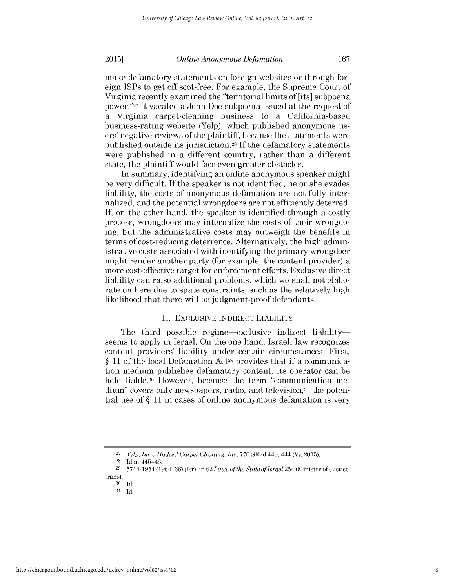### *Online Anonymous Defamation*

make defamatory statements on foreign websites or through foreign ISPs to get off scot-free. For example, the Supreme Court of Virginia recently examined the "territorial limits of [its] subpoena power."27 It vacated a John Doe subpoena issued at the request of a Virginia carpet-cleaning business to a California-based business-rating website (Yelp), which published anonymous users' negative reviews of the plaintiff, because the statements were published outside its jurisdiction.28 If the defamatory statements were published in a different country, rather than a different state, the plaintiff would face even greater obstacles.

In summary, identifying an online anonymous speaker might be very difficult. If the speaker is not identified, he or she evades liability, the costs of anonymous defamation are not fully internalized, and the potential wrongdoers are not efficiently deterred. If, on the other hand, the speaker is identified through a costly process, wrongdoers may internalize the costs of their wrongdoing, but the administrative costs may outweigh the benefits in terms of cost-reducing deterrence. Alternatively, the high administrative costs associated with identifying the primary wrongdoer might render another party (for example, the content provider) a more cost-effective target for enforcement efforts. Exclusive direct liability can raise additional problems, which we shall not elaborate on here due to space constraints, such as the relatively high likelihood that there will be judgment-proof defendants.

# II. EXCLUSIVE INDIRECT LIABILITY

The third possible regime—exclusive indirect liability seems to apply in Israel. On the one hand, Israeli law recognizes content providers' liability under certain circumstances. First, § 11 of the local Defamation Act<sup>29</sup> provides that if a communication medium publishes defamatory content, its operator can be held liable.30 However, because the term "communication medium" covers only newspapers, radio, and television,<sup>31</sup> the potential use of § 11 in cases of online anonymous defamation is very

<sup>27</sup>*Yelp, Inc v Hadeed Carpet Cleaning, Inc,* 770 SE2d 440, 444 (Va 2015).

<sup>&</sup>lt;sup>28</sup> Id at 445-46.

<sup>29</sup>5714-1954 (1964-66) (Isr), in 62 *Laws of the State of Israel* 254 (Ministry of Justice,

trans).

**<sup>30</sup>**Id.

 $31$  Id.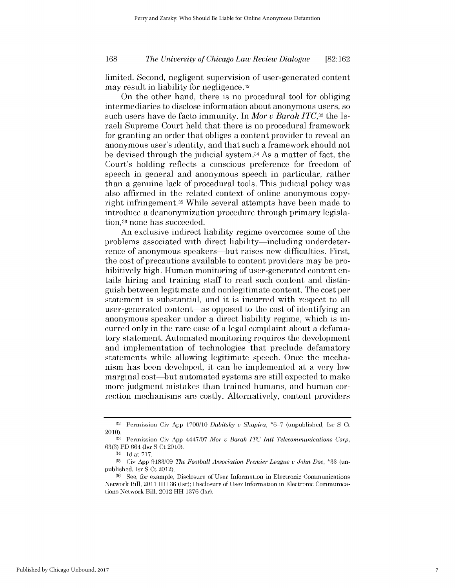limited. Second, negligent supervision of user-generated content may result in liability for negligence.32

On the other hand, there is no procedural tool for obliging intermediaries to disclose information about anonymous users, so such users have de facto immunity. In *Mor v Barak ITC,33* the Israeli Supreme Court held that there is no procedural framework for granting an order that obliges a content provider to reveal an anonymous user's identity, and that such a framework should not be devised through the judicial system. <sup>34</sup>As a matter of fact, the Court's holding reflects a conscious preference for freedom of speech in general and anonymous speech in particular, rather than a genuine lack of procedural tools. This judicial policy was also affirmed in the related context of online anonymous copyright infringement.35 While several attempts have been made to introduce a deanonymization procedure through primary legislation,<sup>36</sup> none has succeeded.

An exclusive indirect liability regime overcomes some of the problems associated with direct liability—including underdeterrence of anonymous speakers—but raises new difficulties. First, the cost of precautions available to content providers may be prohibitively high. Human monitoring of user-generated content entails hiring and training staff to read such content and distinguish between legitimate and nonlegitimate content. The cost per statement is substantial, and it is incurred with respect to all user-generated content-as opposed to the cost of identifying an anonymous speaker under a direct liability regime, which is incurred only in the rare case of a legal complaint about a defamatory statement. Automated monitoring requires the development and implementation of technologies that preclude defamatory statements while allowing legitimate speech. Once the mechanism has been developed, it can be implemented at a very low marginal cost—but automated systems are still expected to make more judgment mistakes than trained humans, and human correction mechanisms are costly. Alternatively, content providers

<sup>32</sup>Permission Civ App 1700/10 *Dubitsky v Shapira,* **\*6-7** (unpublished, Isr S Ct 2010).

<sup>33</sup> Permission Civ App 4447/07 *Mor v Barak ITC Intl Telecommunications Corp,* 63(3) PD 664 (Isr S Ct 2010).

<sup>34</sup>**Id** at **717.**

<sup>35</sup> Civ App 9183/09 *The Football Association Premier League v John Doe,* \*33 (unpublished, Isr S Ct 2012).

<sup>&</sup>lt;sup>36</sup> See, for example, Disclosure of User Information in Electronic Communications Network Bill, 2011 HH 36 (Isr); Disclosure of User Information in Electronic Communications Network Bill, 2012 HH 1376 (Isr).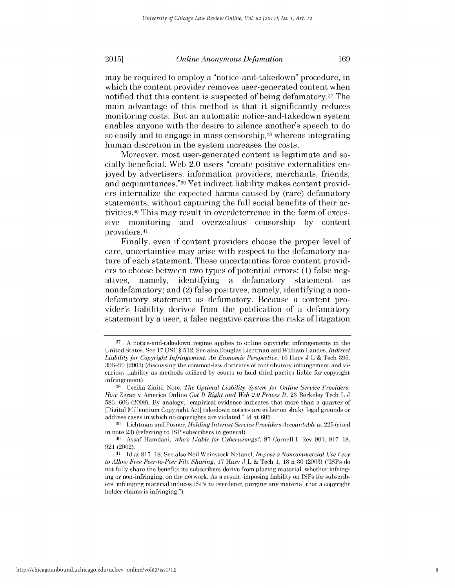### *Online Anonymous Defamation*

may be required to employ a "notice-and-takedown" procedure, in which the content provider removes user-generated content when notified that this content is suspected of being defamatory.37 The main advantage of this method is that it significantly reduces monitoring costs. But an automatic notice-and-takedown system enables anyone with the desire to silence another's speech to do **so easily** and to engage in mass censorship,38 **whereas integrating** human discretion in the system increases the costs.

Moreover, most user-generated content is legitimate and socially beneficial. Web 2.0 users "create positive externalities enjoyed **by** advertisers, information providers, merchants, friends, and acquaintances." **39** Yet indirect liability makes content providers internalize the expected harms caused **by** (rare) defamatory statements, without capturing the full social benefits of their activities.40 This may result in overdeterrence in the form of excessive monitoring and overzealous censorship **by** content providers.41

Finally, even **if** content providers choose the proper level of care, uncertainties may arise with respect to the defamatory nature of each statement. These uncertainties force content providers to choose between two types of potential errors: **(1)** false negatives, namely, identifying a defamatory statement as nondefamatory; and (2) false positives, namely, identifying a nondefamatory statement as defamatory. Because a content provider's liability derives from the publication of a defamatory statement **by** a user, a false negative carries the risks of litigation

**20151**

**<sup>37</sup>A** notice-and-takedown regime applies to online copyright infringements in the United States. See **17 USC § 512.** See also Douglas Lichtman and William Landes, *Indirect Liability for Copyright Infringement: An Economic Perspective,* **16** Harv **J** L **&** Tech **395, 396-99 (2003)** (discussing the common-law doctrines of contributory infringement and vicarious liability as methods utilized **by** courts to hold third parties liable for copyright infringement).

<sup>&</sup>lt;sup>38</sup> Cecilia Ziniti, Note, *The Optimal Liability System for Online Service Providers: How* Zeran v America Online *Got It Right and Web 2.0 Proves It,* **23** Berkeley Tech L **J 583, 606 (2008). By** analogy, "empirical evidence indicates that more than a quarter of [Digital Millennium Copyright Act] takedown notices are either on shaky legal grounds or address cases in which no copyrights are violated." **Id** at **605.**

**<sup>39</sup>**Lichtman and Posner, *Holding Internet Service Providers Accountable* at **225** (cited in note **23)** (referring to **ISP** subscribers in general).

<sup>40</sup>Assaf Hamdani, *Who's Liable for Cyberwrongs?,* **87** Cornell L Rev **901, 917-18, 921 (2002).**

**<sup>41</sup>Id** at **917-18.** See also Neil Weinstock Netanel, *Impose a Noncommercial Use Levy to Allow Free Peer-to-Peer File Sharing,* **17** Harv **J** L **&** Tech **1, 13** n **30 (2003)** ("ISPs do not fully share the benefits its subscribers derive from placing material, whether infringing or non-infringing, on the network. As a result, imposing liability on ISPs for subscribers' infringing material induces ISPs to overdeter, purging any material that a copyright holder claims is infringing.").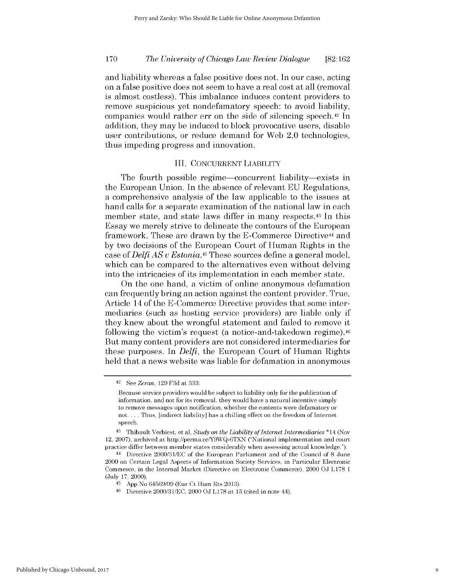and liability whereas a false positive does not. In our case, acting on a false positive does not seem to have a real cost at all (removal is almost costless). This imbalance induces content providers to remove suspicious yet nondefamatory speech: to avoid liability, companies would rather err on the side of silencing speech.42 In addition, they may be induced to block provocative users, disable user contributions, or reduce demand for Web 2.0 technologies, thus impeding progress and innovation.

# III. CONCURRENT LIABILITY

The fourth possible regime—concurrent liability—exists in the European Union. In the absence of relevant EU Regulations, a comprehensive analysis of the law applicable to the issues at hand calls for a separate examination of the national law in each member state, and state laws differ in many respects.<sup>43</sup> In this Essay we merely strive to delineate the contours of the European framework. These are drawn by the E-Commerce Directive<sup>44</sup> and by two decisions of the European Court of Human Rights in the case of *Delfi AS v Estonia.<sup>45</sup>*These sources define a general model, which can be compared to the alternatives even without delving into the intricacies of its implementation in each member state.

On the one hand, a victim of online anonymous defamation can frequently bring an action against the content provider. True, Article 14 of the E-Commerce Directive provides that some intermediaries (such as hosting service providers) are liable only if they knew about the wrongful statement and failed to remove it following the victim's request (a notice-and-takedown regime).<sup>46</sup> But many content providers are not considered intermediaries for these purposes. In *Delfi,* the European Court of Human Rights held that a news website was liable for defamation in anonymous

 $42$  See Zeran, 129 F3d at 333:

Because service providers would be subject to liability only for the publication of information, and not for its removal, they would have a natural incentive simply to remove messages upon notification, whether the contents were defamatory or not.... Thus, [indirect liability] has a chilling effect on the freedom of Internet speech.

<sup>43</sup>Thibault Verbiest, et al, *Study on the Liability of Internet Intermediaries* \*14 (Nov 12, 2007), archived at http://perma.cc/Y9WQ-6TXN ("National implementation and court practice differ between member states considerably when assessing actual knowledge.").

<sup>44</sup>Directive 2000/31/EC of the European Parliament and of the Council of 8 June 2000 on Certain Legal Aspects of Information Society Services, in Particular Electronic Commerce, in the Internal Market (Directive on Electronic Commerce), 2000 **OJ** L178 1 (July 17, 2000).

<sup>45</sup>App No 64569/09 (Eur Ct Hum Rts 2013).

**<sup>46</sup>**Directive 2000/31/EC, 2000 OJ L178 at 13 (cited in note 44).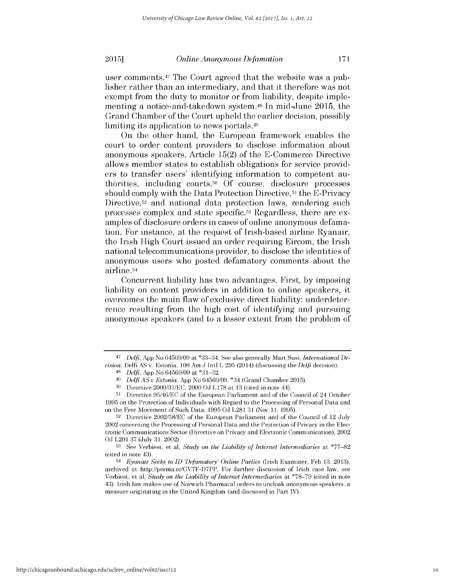### *Online Anonymous Defamation*

user comments.<sup>47</sup> The Court agreed that the website was a publisher rather than an intermediary, and that it therefore was not exempt from the duty to monitor or from liability, despite implementing a notice-and-takedown system.<sup>48</sup> In mid-June 2015, the Grand Chamber of the Court upheld the earlier decision, possibly limiting its application to news portals. <sup>49</sup>

On the other hand, the European framework enables the court to order content providers to disclose information about anonymous speakers. Article 15(2) of the E-Commerce Directive allows member states to establish obligations for service providers to transfer users' identifying information to competent authorities, including courts.<sup>50</sup> Of course, disclosure processes should comply with the Data Protection Directive,<sup>51</sup> the E-Privacy Directive,<sup>52</sup> and national data protection laws, rendering such processes complex and state specific.53 Regardless, there are examples of disclosure orders in cases of online anonymous defamation. For instance, at the request of Irish-based airline Ryanair, the Irish High Court issued an order requiring Eircom, the Irish national telecommunications provider, to disclose the identities of anonymous users who posted defamatory comments about the airline.54

Concurrent liability has two advantages. First, by imposing liability on content providers in addition to online speakers, it overcomes the main flaw of exclusive direct liability: underdeterrence resulting from the high cost of identifying and pursuing anonymous speakers (and to a lesser extent from the problem of

<sup>47</sup> *Delfi,* App No 64569/09 at \*33-34. See also generally Mart Susi, *International Decision:* Delfi AS v. Estonia, 108 Am **J** Intl L 295 (2014) (discussing the *Delfi* decision).

<sup>48</sup>*Delfi,* App No 64569/09 at \*31-32.

*<sup>49</sup> Delfi AS v Estonia,* App No 64569/09, \*34 (Grand Chamber 2015).

<sup>50</sup> Directive 2000/31/EC, 2000 **GJ** L178 at 13 (cited in note 44).

<sup>51</sup> Directive 95/46/EC of the European Parliament and of the Council of 24 October 1995 on the Protection of Individuals with Regard to the Processing of Personal Data and on the Free Movement of Such Data, 1995 **)J** L281 31 (Nov 11, 1995).

<sup>52</sup> Directive 2002/58/EC of the European Parliament and of the Council of 12 July 2002 concerning the Processing of Personal Data and the Protection of Privacy in the Electronic Communications Sector (Directive on Privacy and Electronic Communication), 2002 **OJ** L201 37 (July 31, 2002).

**<sup>53</sup>**See Verbiest, et al, *Study on the Liability of Internet Intermediaries* at \*77-82 (cited in note 43).

*<sup>54</sup> Ryanair Seeks to ID Defamatory' Online Parties* (Irish Examiner, Feb 13, 2013), archived at http://perma.cc/GV7F-D7PP. For further discussion of Irish case law, see Verbiest, et al, *Study on the Liability of Internet Intermediaries* at \*78-79 (cited in note 43). Irish law makes use of Norwich Pharmacal orders to uncloak anonymous speakers, a measure originating in the United Kingdom (and discussed in Part IV).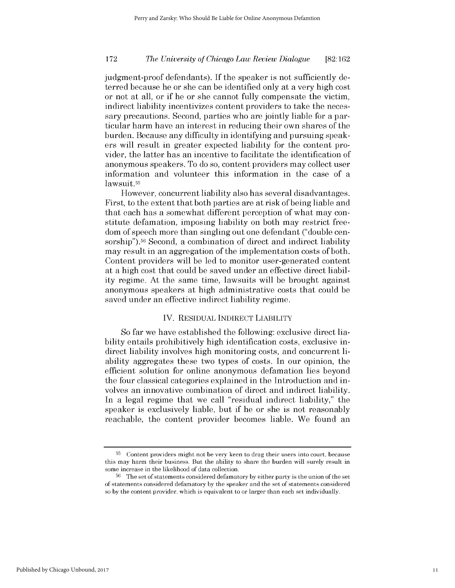judgment-proof defendants). If the speaker is not sufficiently deterred because he or she can be identified only at a very high cost or not at all, or if he or she cannot fully compensate the victim, indirect liability incentivizes content providers to take the necessary precautions. Second, parties who are jointly liable for a particular harm have an interest in reducing their own shares of the burden. Because any difficulty in identifying and pursuing speakers will result in greater expected liability for the content provider, the latter has an incentive to facilitate the identification of anonymous speakers. To do so, content providers may collect user information and volunteer this information in the case of a lawsuit.<sup>55</sup>

However, concurrent liability also has several disadvantages. First, to the extent that both parties are at risk of being liable and that each has a somewhat different perception of what may constitute defamation, imposing liability on both may restrict freedom of speech more than singling out one defendant ("double censorship").<sup>56</sup> Second, a combination of direct and indirect liability may result in an aggregation of the implementation costs of both. Content providers will be led to monitor user-generated content at a high cost that could be saved under an effective direct liability regime. At the same time, lawsuits will be brought against anonymous speakers at high administrative costs that could be saved under an effective indirect liability regime.

## IV. RESIDUAL INDIRECT LIABILITY

So far we have established the following: exclusive direct liability entails prohibitively high identification costs, exclusive indirect liability involves high monitoring costs, and concurrent liability aggregates these two types of costs. In our opinion, the efficient solution for online anonymous defamation lies beyond the four classical categories explained in the Introduction and involves an innovative combination of direct and indirect liability. In a legal regime that we call "residual indirect liability," the speaker is exclusively liable, but if he or she is not reasonably reachable, the content provider becomes liable. We found an

<sup>&</sup>lt;sup>55</sup> Content providers might not be very keen to drag their users into court, because this may harm their business. But the ability to share the burden will surely result in some increase in the likelihood of data collection.

<sup>&</sup>lt;sup>56</sup> The set of statements considered defamatory by either party is the union of the set of statements considered defamatory by the speaker and the set of statements considered so by the content provider, which is equivalent to or larger than each set individually.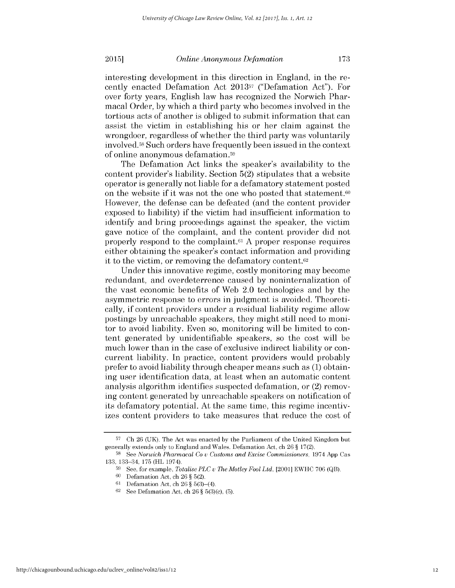*Online Anonymous Defamation*

interesting development in this direction in England, in the recently enacted Defamation Act 201357 ("Defamation Act"). For over forty years, English law has recognized the Norwich Pharmacal Order, by which a third party who becomes involved in the tortious acts of another is obliged to submit information that can assist the victim in establishing his or her claim against the wrongdoer, regardless of whether the third party was voluntarily involved.58 Such orders have frequently been issued in the context of online anonymous defamation.59

The Defamation Act links the speaker's availability to the content provider's liability. Section 5(2) stipulates that a website operator is generally not liable for a defamatory statement posted on the website if it was not the one who posted that statement.<sup>60</sup> However, the defense can be defeated (and the content provider exposed to liability) if the victim had insufficient information to identify and bring proceedings against the speaker, the victim gave notice of the complaint, and the content provider did not properly respond to the complaint.61 A proper response requires either obtaining the speaker's contact information and providing it to the victim, or removing the defamatory content. $62$ 

Under this innovative regime, costly monitoring may become redundant, and overdeterrence caused by noninternalization of the vast economic benefits of Web 2.0 technologies and by the asymmetric response to errors in judgment is avoided. Theoretically, if content providers under a residual liability regime allow postings by unreachable speakers, they might still need to monitor to avoid liability. Even so, monitoring will be limited to content generated by unidentifiable speakers, so the cost will be much lower than in the case of exclusive indirect liability or concurrent liability. In practice, content providers would probably prefer to avoid liability through cheaper means such as (1) obtaining user identification data, at least when an automatic content analysis algorithm identifies suspected defamation, or (2) removing content generated by unreachable speakers on notification of its defamatory potential. At the same time, this regime incentivizes content providers to take measures that reduce the cost of

**20151**

**<sup>57</sup>**Ch 26 (UK). The Act was enacted by the Parliament of the United Kingdom but generally extends only to England and Wales. Defamation Act, ch 26 § 17(2).

<sup>58</sup> See *Norwich Pharmacal Co v Customs and Excise Commissioners, 1974 App Cas* 133, 133-34, 175 (HL 1974).

<sup>59</sup>See, for example, *Totalise PLC u The Motley Fool Ltd,* [2001] EWHC 706 (QB).

**<sup>60</sup>**Defamation Act, ch 26 § 5(2).

<sup>61</sup> Defamation Act, ch 26  $§$  5(3)-(4).

**<sup>62</sup>**See Defamation Act, ch 26 § 5(3)(c), (5).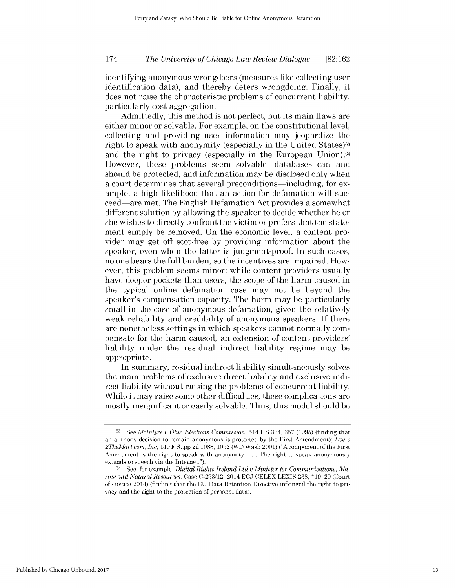identifying anonymous wrongdoers (measures like collecting user identification data), and thereby deters wrongdoing. Finally, it does not raise the characteristic problems of concurrent liability, particularly cost aggregation.

Admittedly, this method is not perfect, but its main flaws are either minor or solvable. For example, on the constitutional level, collecting and providing user information may jeopardize the right to speak with anonymity (especially in the United States)<sup>63</sup> and the right to privacy (especially in the European Union).<sup>64</sup> However, these problems seem solvable: databases can and should be protected, and information may be disclosed only when a court determines that several preconditions—including, for example, a high likelihood that an action for defamation will succeed-are met. The English Defamation Act provides a somewhat different solution by allowing the speaker to decide whether he or she wishes to directly confront the victim or prefers that the statement simply be removed. On the economic level, a content provider may get off scot-free by providing information about the speaker, even when the latter is judgment-proof. In such cases, no one bears the full burden, so the incentives are impaired. However, this problem seems minor: while content providers usually have deeper pockets than users, the scope of the harm caused in the typical online defamation case may not be beyond the speaker's compensation capacity. The harm may be particularly small in the case of anonymous defamation, given the relatively weak reliability and credibility of anonymous speakers. If there are nonetheless settings in which speakers cannot normally compensate for the harm caused, an extension of content providers' liability under the residual indirect liability regime may be appropriate.

In summary, residual indirect liability simultaneously solves the main problems of exclusive direct liability and exclusive indirect liability without raising the problems of concurrent liability. While it may raise some other difficulties, these complications are mostly insignificant or easily solvable. Thus, this model should be

**<sup>63</sup>**See *McIntyre u Ohio Elections Commission,* 514 US 334, 357 (1995) (finding that an author's decision to remain anonymous is protected by the First Amendment); *Doe U 2TheMart.com, Inc,* 140 F Supp 2d 1088, 1092 (WD Wash 2001) **("A** component of the First Amendment is the right to speak with anonymity. ... The right to speak anonymously extends to speech via the Internet.").

<sup>64</sup> See, for example, *Digital Rights Ireland Ltd u Minister for Communications, Marine and Natural Resources,* Case C-293/12, 2014 ECJ CELEX LEXIS 238, \*19-20 (Court of Justice 2014) (finding that the EU Data Retention Directive infringed the right to privacy and the right to the protection of personal data).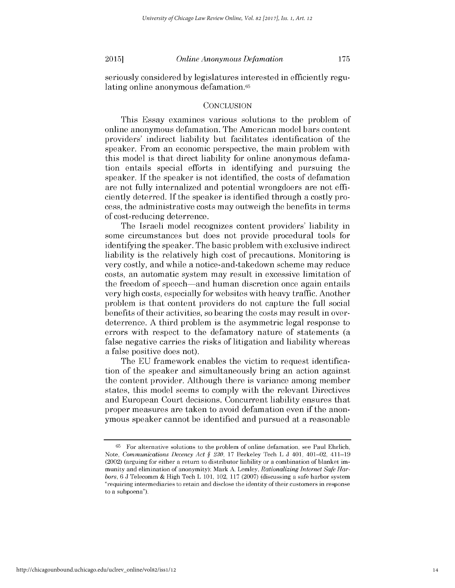seriously considered by legislatures interested in efficiently regulating online anonymous defamation.<sup>65</sup>

## **CONCLUSION**

This Essay examines various solutions to the problem of online anonymous defamation. The American model bars content providers' indirect liability but facilitates identification of the speaker. From an economic perspective, the main problem with this model is that direct liability for online anonymous defamation entails special efforts in identifying and pursuing the speaker. If the speaker is not identified, the costs of defamation are not fully internalized and potential wrongdoers are not efficiently deterred. If the speaker is identified through a costly process, the administrative costs may outweigh the benefits in terms of cost-reducing deterrence.

The Israeli model recognizes content providers' liability in some circumstances but does not provide procedural tools for identifying the speaker. The basic problem with exclusive indirect liability is the relatively high cost of precautions. Monitoring is very costly, and while a notice-and-takedown scheme may reduce costs, an automatic system may result in excessive limitation of the freedom of speech-and human discretion once again entails very high costs, especially for websites with heavy traffic. Another problem is that content providers do not capture the full social benefits of their activities, so bearing the costs may result in overdeterrence. A third problem is the asymmetric legal response to errors with respect to the defamatory nature of statements (a false negative carries the risks of litigation and liability whereas a false positive does not).

The EU framework enables the victim to request identification of the speaker and simultaneously bring an action against the content provider. Although there is variance among member states, this model seems to comply with the relevant Directives and European Court decisions. Concurrent liability ensures that proper measures are taken to avoid defamation even if the anonymous speaker cannot be identified and pursued at a reasonable

**<sup>65</sup>**For alternative solutions to the problem of online defamation, see Paul Ehrlich, Note, *Communications Decency Act § 230,* 17 Berkeley Tech L J 401, 401-02, 411-19 (2002) (arguing for either a return to distributor liability or a combination of blanket immunity and elimination of anonymity); Mark A. Lemley, *Rationalizing Internet Safe Harbors,* 6 J Telecomm & High Tech L 101, 102, 117 (2007) (discussing a safe harbor system "requiring intermediaries to retain and disclose the identity of their customers in response to a subpoena").